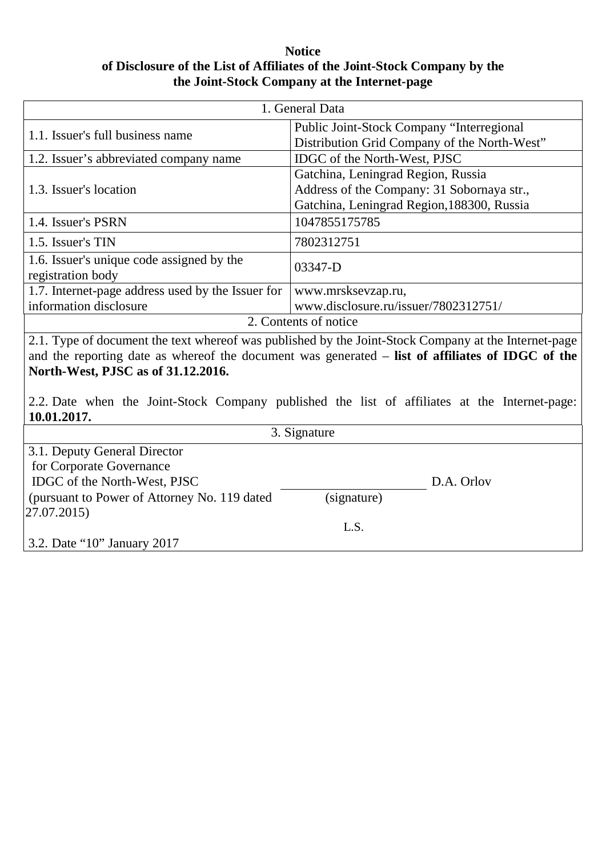## **Notice of Disclosure of the List of Affiliates of the Joint-Stock Company by the the Joint-Stock Company at the Internet-page**

| 1. General Data                                                                                      |                                              |
|------------------------------------------------------------------------------------------------------|----------------------------------------------|
| 1.1. Issuer's full business name                                                                     | Public Joint-Stock Company "Interregional    |
|                                                                                                      | Distribution Grid Company of the North-West" |
| 1.2. Issuer's abbreviated company name                                                               | IDGC of the North-West, PJSC                 |
| 1.3. Issuer's location                                                                               | Gatchina, Leningrad Region, Russia           |
|                                                                                                      | Address of the Company: 31 Sobornaya str.,   |
|                                                                                                      | Gatchina, Leningrad Region, 188300, Russia   |
| 1.4. Issuer's PSRN                                                                                   | 1047855175785                                |
| 1.5. Issuer's TIN                                                                                    | 7802312751                                   |
| 1.6. Issuer's unique code assigned by the                                                            | 03347-D                                      |
| registration body                                                                                    |                                              |
| 1.7. Internet-page address used by the Issuer for                                                    | www.mrsksevzap.ru,                           |
| information disclosure                                                                               | www.disclosure.ru/issuer/7802312751/         |
| 2. Contents of notice                                                                                |                                              |
| 2.1. Type of document the text whereof was published by the Joint-Stock Company at the Internet-page |                                              |
| and the reporting date as whereof the document was generated – list of affiliates of IDGC of the     |                                              |
| North-West, PJSC as of 31.12.2016.                                                                   |                                              |
|                                                                                                      |                                              |
| 2.2. Date when the Joint-Stock Company published the list of affiliates at the Internet-page:        |                                              |
| 10.01.2017.                                                                                          |                                              |
| 3. Signature                                                                                         |                                              |
| 3.1. Deputy General Director                                                                         |                                              |
| for Corporate Governance                                                                             |                                              |
| IDGC of the North-West, PJSC                                                                         | D.A. Orlov                                   |
| (pursuant to Power of Attorney No. 119 dated                                                         | (signature)                                  |
| 27.07.2015)                                                                                          |                                              |
|                                                                                                      | L.S.                                         |
| 3.2. Date "10" January 2017                                                                          |                                              |
|                                                                                                      |                                              |